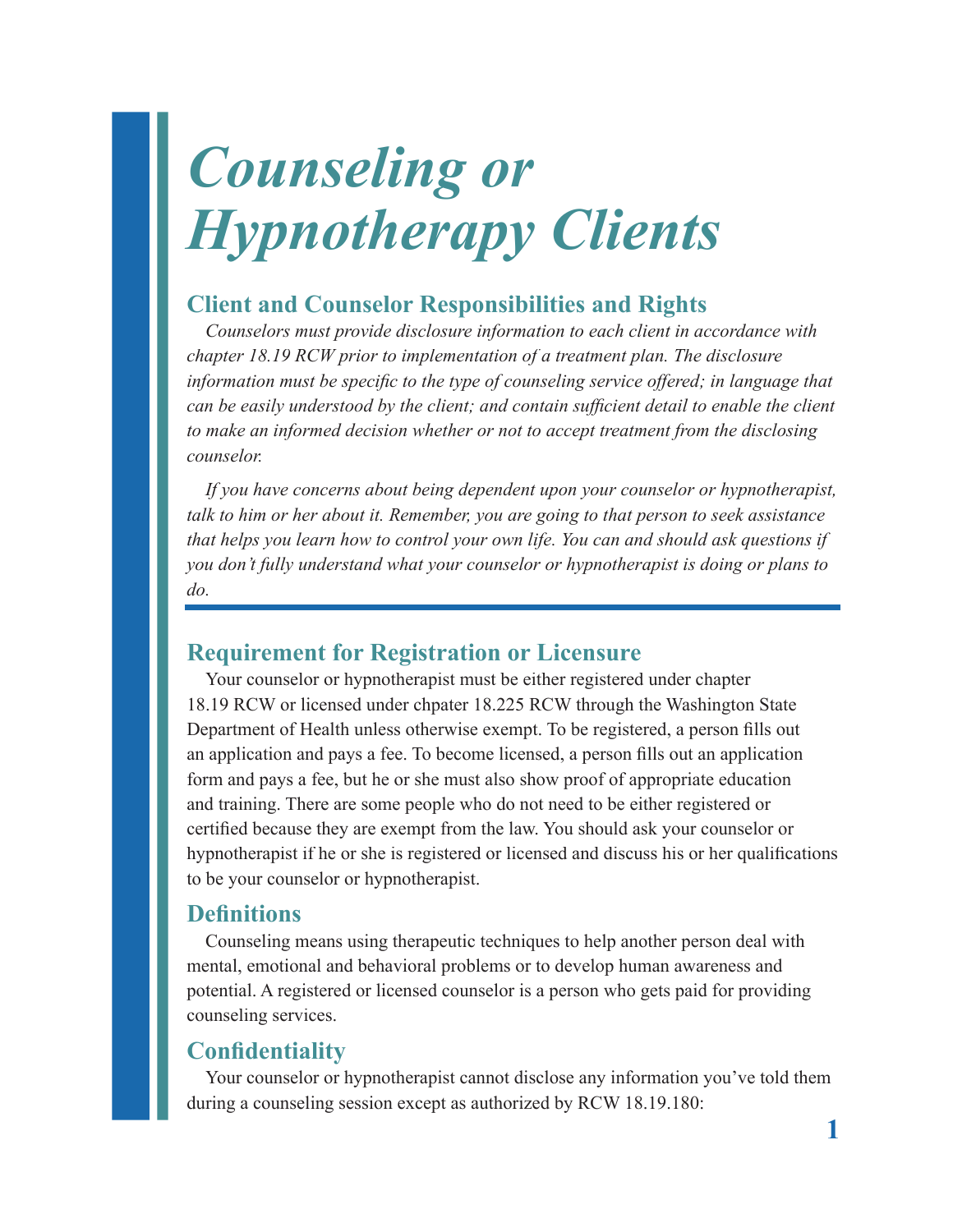# *Counseling or Hypnotherapy Clients*

## **Client and Counselor Responsibilities and Rights**

*Counselors must provide disclosure information to each client in accordance with chapter 18.19 RCW prior to implementation of a treatment plan. The disclosure information must be specific to the type of counseling service offered; in language that can be easily understood by the client; and contain sufficient detail to enable the client to make an informed decision whether or not to accept treatment from the disclosing counselor.*

*If you have concerns about being dependent upon your counselor or hypnotherapist, talk to him or her about it. Remember, you are going to that person to seek assistance that helps you learn how to control your own life. You can and should ask questions if you don't fully understand what your counselor or hypnotherapist is doing or plans to do.*

## **Requirement for Registration or Licensure**

Your counselor or hypnotherapist must be either registered under chapter 18.19 RCW or licensed under chpater 18.225 RCW through the Washington State Department of Health unless otherwise exempt. To be registered, a person fills out an application and pays a fee. To become licensed, a person fills out an application form and pays a fee, but he or she must also show proof of appropriate education and training. There are some people who do not need to be either registered or certified because they are exempt from the law. You should ask your counselor or hypnotherapist if he or she is registered or licensed and discuss his or her qualifications to be your counselor or hypnotherapist.

### **Definitions**

Counseling means using therapeutic techniques to help another person deal with mental, emotional and behavioral problems or to develop human awareness and potential. A registered or licensed counselor is a person who gets paid for providing counseling services.

## **Confidentiality**

Your counselor or hypnotherapist cannot disclose any information you've told them during a counseling session except as authorized by RCW 18.19.180: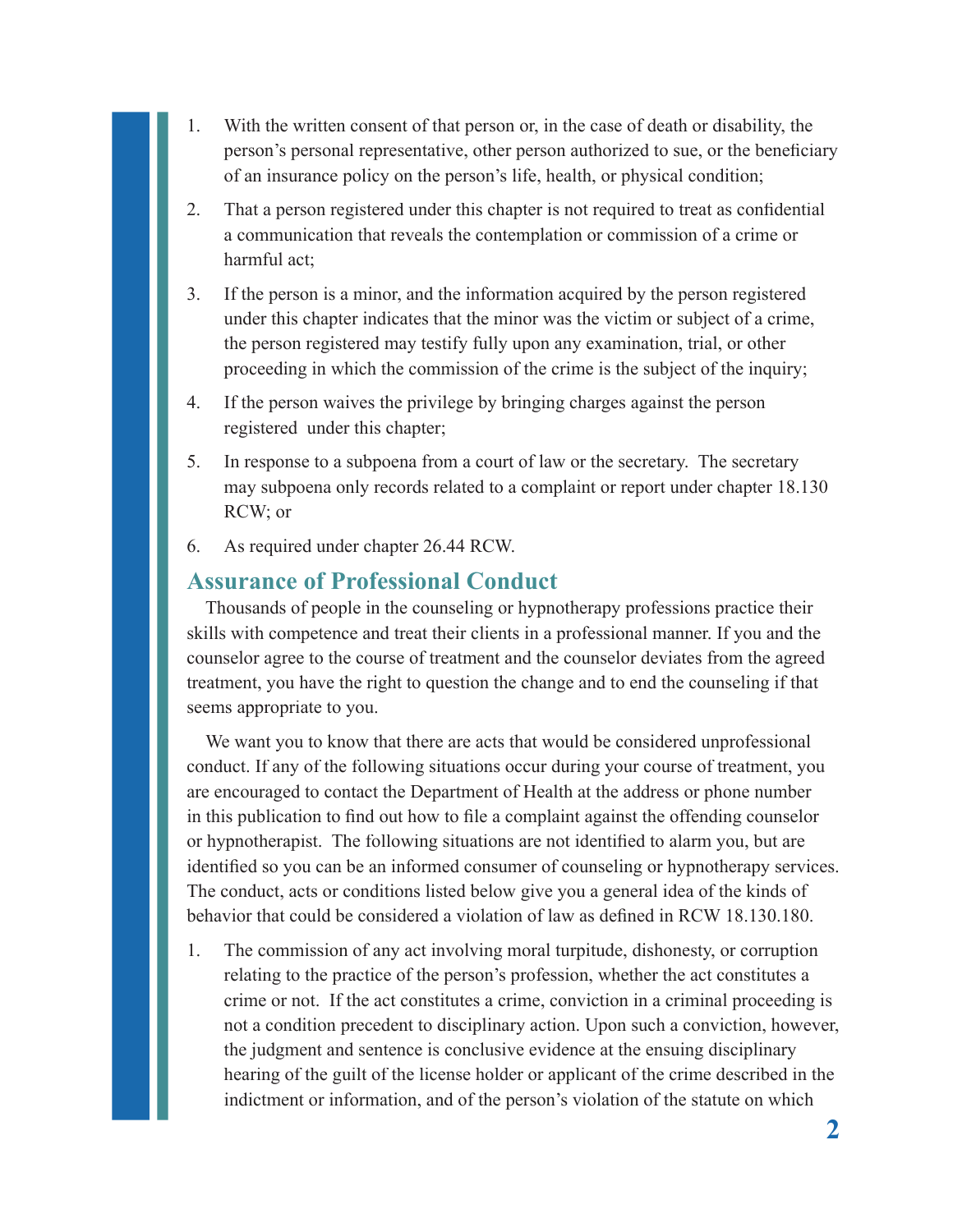- 1. With the written consent of that person or, in the case of death or disability, the person's personal representative, other person authorized to sue, or the beneficiary of an insurance policy on the person's life, health, or physical condition;
- 2. That a person registered under this chapter is not required to treat as confidential a communication that reveals the contemplation or commission of a crime or harmful act;
- 3. If the person is a minor, and the information acquired by the person registered under this chapter indicates that the minor was the victim or subject of a crime, the person registered may testify fully upon any examination, trial, or other proceeding in which the commission of the crime is the subject of the inquiry;
- 4. If the person waives the privilege by bringing charges against the person registered under this chapter;
- 5. In response to a subpoena from a court of law or the secretary. The secretary may subpoena only records related to a complaint or report under chapter 18.130 RCW; or
- 6. As required under chapter 26.44 RCW.

#### **Assurance of Professional Conduct**

Thousands of people in the counseling or hypnotherapy professions practice their skills with competence and treat their clients in a professional manner. If you and the counselor agree to the course of treatment and the counselor deviates from the agreed treatment, you have the right to question the change and to end the counseling if that seems appropriate to you.

We want you to know that there are acts that would be considered unprofessional conduct. If any of the following situations occur during your course of treatment, you are encouraged to contact the Department of Health at the address or phone number in this publication to find out how to file a complaint against the offending counselor or hypnotherapist. The following situations are not identified to alarm you, but are identified so you can be an informed consumer of counseling or hypnotherapy services. The conduct, acts or conditions listed below give you a general idea of the kinds of behavior that could be considered a violation of law as defined in RCW 18.130.180.

1. The commission of any act involving moral turpitude, dishonesty, or corruption relating to the practice of the person's profession, whether the act constitutes a crime or not. If the act constitutes a crime, conviction in a criminal proceeding is not a condition precedent to disciplinary action. Upon such a conviction, however, the judgment and sentence is conclusive evidence at the ensuing disciplinary hearing of the guilt of the license holder or applicant of the crime described in the indictment or information, and of the person's violation of the statute on which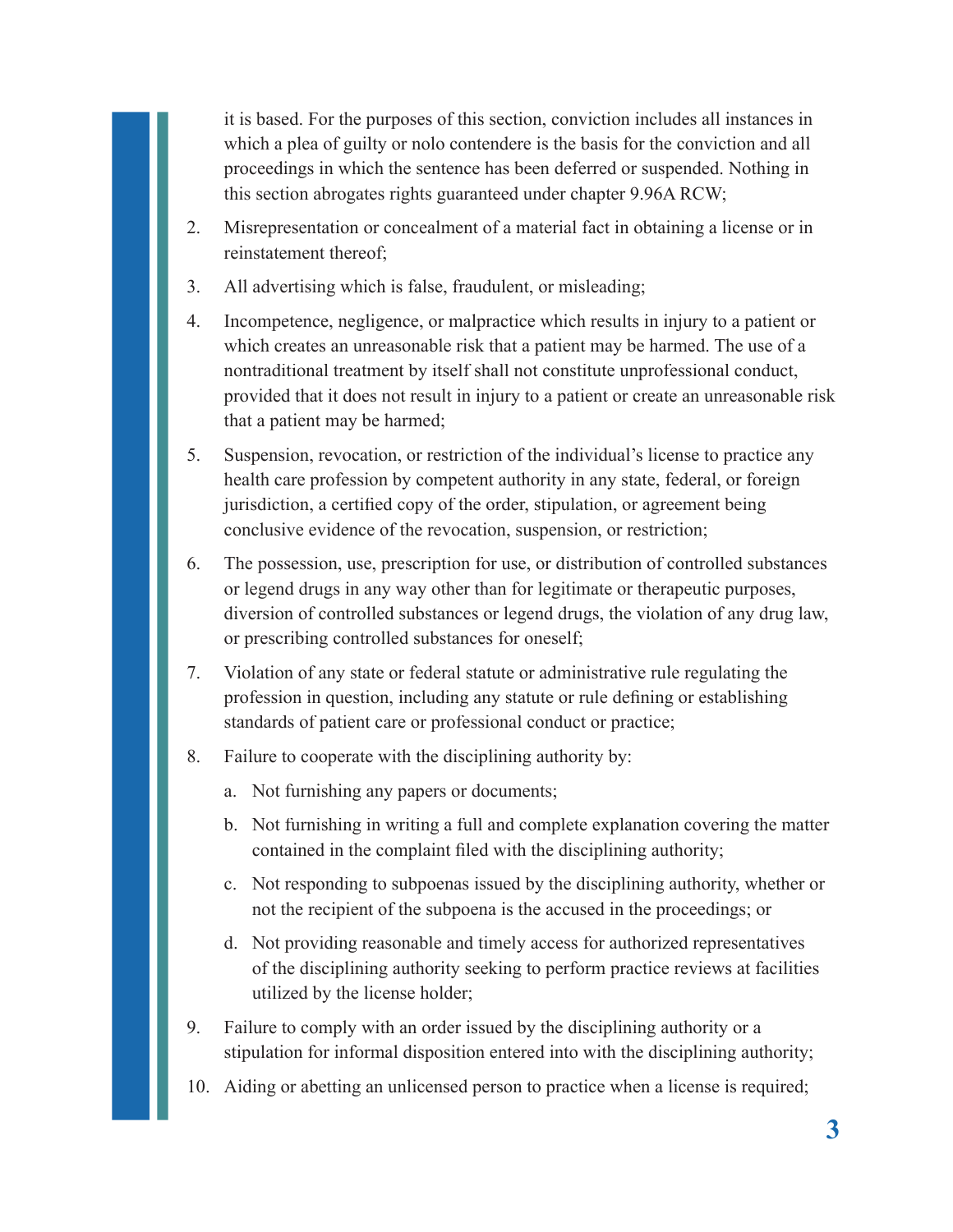it is based. For the purposes of this section, conviction includes all instances in which a plea of guilty or nolo contendere is the basis for the conviction and all proceedings in which the sentence has been deferred or suspended. Nothing in this section abrogates rights guaranteed under chapter 9.96A RCW;

- 2. Misrepresentation or concealment of a material fact in obtaining a license or in reinstatement thereof;
- 3. All advertising which is false, fraudulent, or misleading;
- 4. Incompetence, negligence, or malpractice which results in injury to a patient or which creates an unreasonable risk that a patient may be harmed. The use of a nontraditional treatment by itself shall not constitute unprofessional conduct, provided that it does not result in injury to a patient or create an unreasonable risk that a patient may be harmed;
- 5. Suspension, revocation, or restriction of the individual's license to practice any health care profession by competent authority in any state, federal, or foreign jurisdiction, a certified copy of the order, stipulation, or agreement being conclusive evidence of the revocation, suspension, or restriction;
- 6. The possession, use, prescription for use, or distribution of controlled substances or legend drugs in any way other than for legitimate or therapeutic purposes, diversion of controlled substances or legend drugs, the violation of any drug law, or prescribing controlled substances for oneself;
- 7. Violation of any state or federal statute or administrative rule regulating the profession in question, including any statute or rule defining or establishing standards of patient care or professional conduct or practice;
- 8. Failure to cooperate with the disciplining authority by:
	- a. Not furnishing any papers or documents;
	- b. Not furnishing in writing a full and complete explanation covering the matter contained in the complaint filed with the disciplining authority;
	- c. Not responding to subpoenas issued by the disciplining authority, whether or not the recipient of the subpoena is the accused in the proceedings; or
	- d. Not providing reasonable and timely access for authorized representatives of the disciplining authority seeking to perform practice reviews at facilities utilized by the license holder;
- 9. Failure to comply with an order issued by the disciplining authority or a stipulation for informal disposition entered into with the disciplining authority;
- 10. Aiding or abetting an unlicensed person to practice when a license is required;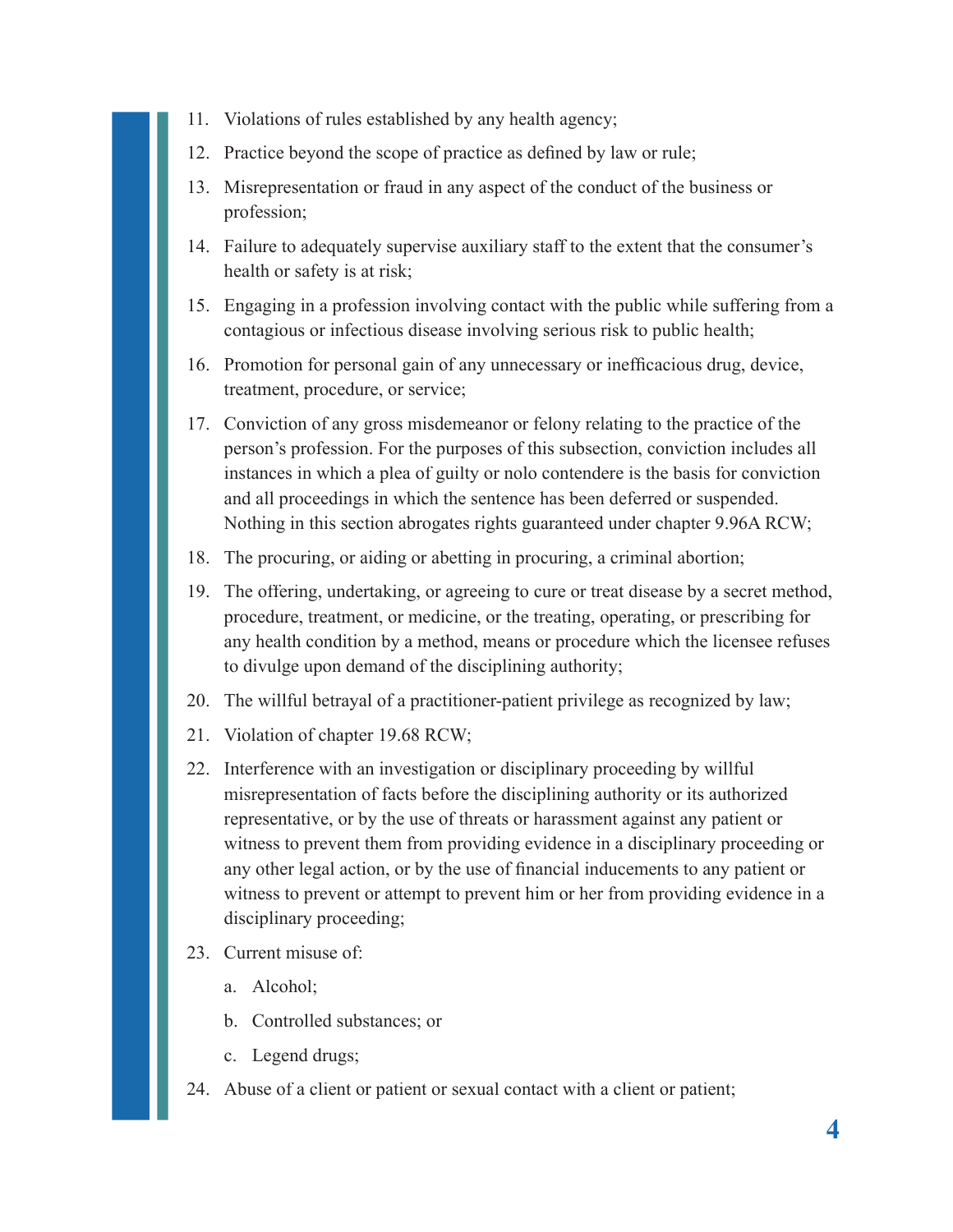- 11. Violations of rules established by any health agency;
- 12. Practice beyond the scope of practice as defined by law or rule;
- 13. Misrepresentation or fraud in any aspect of the conduct of the business or profession;
- 14. Failure to adequately supervise auxiliary staff to the extent that the consumer's health or safety is at risk;
- 15. Engaging in a profession involving contact with the public while suffering from a contagious or infectious disease involving serious risk to public health;
- 16. Promotion for personal gain of any unnecessary or inefficacious drug, device, treatment, procedure, or service;
- 17. Conviction of any gross misdemeanor or felony relating to the practice of the person's profession. For the purposes of this subsection, conviction includes all instances in which a plea of guilty or nolo contendere is the basis for conviction and all proceedings in which the sentence has been deferred or suspended. Nothing in this section abrogates rights guaranteed under chapter 9.96A RCW;
- 18. The procuring, or aiding or abetting in procuring, a criminal abortion;
- 19. The offering, undertaking, or agreeing to cure or treat disease by a secret method, procedure, treatment, or medicine, or the treating, operating, or prescribing for any health condition by a method, means or procedure which the licensee refuses to divulge upon demand of the disciplining authority;
- 20. The willful betrayal of a practitioner-patient privilege as recognized by law;
- 21. Violation of chapter 19.68 RCW;
- 22. Interference with an investigation or disciplinary proceeding by willful misrepresentation of facts before the disciplining authority or its authorized representative, or by the use of threats or harassment against any patient or witness to prevent them from providing evidence in a disciplinary proceeding or any other legal action, or by the use of financial inducements to any patient or witness to prevent or attempt to prevent him or her from providing evidence in a disciplinary proceeding;
- 23 Current misuse of:
	- a. Alcohol;
	- b. Controlled substances; or
	- c. Legend drugs;
- 24. Abuse of a client or patient or sexual contact with a client or patient;